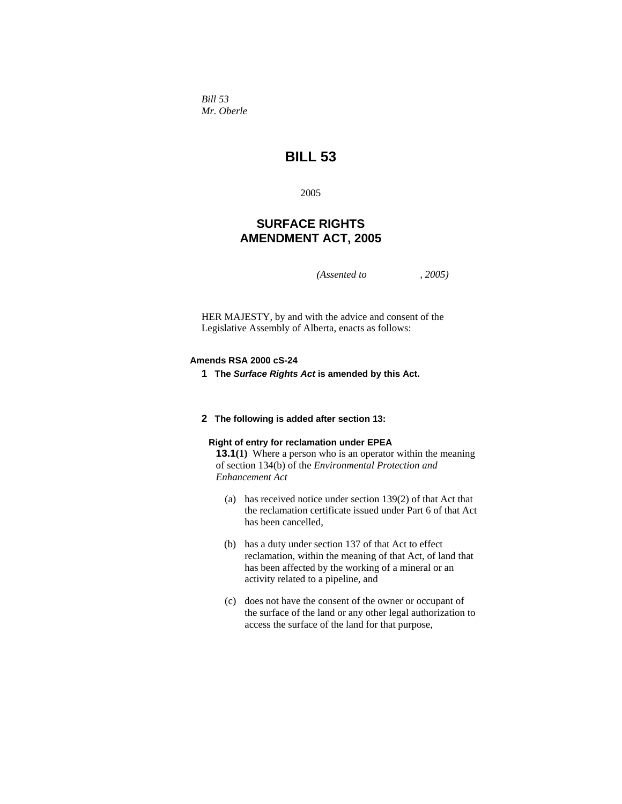*Bill 53 Mr. Oberle* 

# **BILL 53**

2005

## **SURFACE RIGHTS AMENDMENT ACT, 2005**

*(Assented to , 2005)* 

HER MAJESTY, by and with the advice and consent of the Legislative Assembly of Alberta, enacts as follows:

#### **Amends RSA 2000 cS-24**

**1 The** *Surface Rights Act* **is amended by this Act.**

#### **2 The following is added after section 13:**

#### **Right of entry for reclamation under EPEA**

**13.1(1)** Where a person who is an operator within the meaning of section 134(b) of the *Environmental Protection and Enhancement Act*

- (a) has received notice under section 139(2) of that Act that the reclamation certificate issued under Part 6 of that Act has been cancelled,
- (b) has a duty under section 137 of that Act to effect reclamation, within the meaning of that Act, of land that has been affected by the working of a mineral or an activity related to a pipeline, and
- (c) does not have the consent of the owner or occupant of the surface of the land or any other legal authorization to access the surface of the land for that purpose,